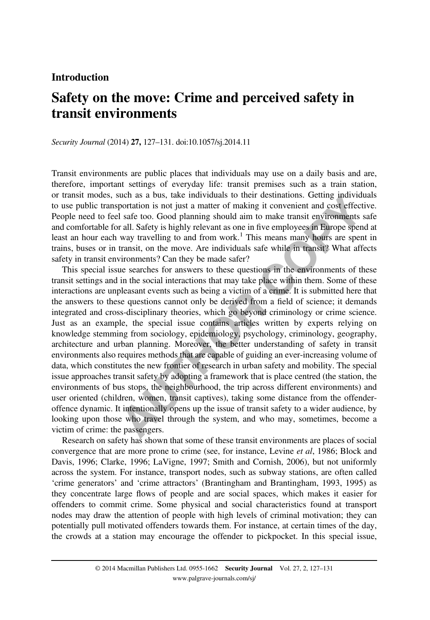## Introduction

# Safety on the move: Crime and perceived safety in transit environments

Security Journal (2014) 27, 127–131. doi[:10.1057/sj.2014.11](http://dx.doi.org/10.1057/sj.2014.11)

Transit environments are public places that individuals may use on a daily basis and are, therefore, important settings of everyday life: transit premises such as a train station, or transit modes, such as a bus, take individuals to their destinations. Getting individuals to use public transportation is not just a matter of making it convenient and cost effective. People need to feel safe too. Good planning should aim to make transit environments safe and comfortable for all. Safety is highly relevant as one in five employees in Europe spend at least an hour each way travelling to and from work.<sup>1</sup> This means many hours are spent in trains, buses or in transit, on the move. Are individuals safe while in transit? What affects safety in transit environments? Can they be made safer?

notes, such as a ous, take inturbuals to their destantations. Cetture inturvial<br>ite transportation is not just a matter of making it convenient and cost effect<br>d to feel safe too. Good planning should aim to make transit e This special issue searches for answers to these questions in the environments of these transit settings and in the social interactions that may take place within them. Some of these interactions are unpleasant events such as being a victim of a crime. It is submitted here that the answers to these questions cannot only be derived from a field of science; it demands integrated and cross-disciplinary theories, which go beyond criminology or crime science. Just as an example, the special issue contains articles written by experts relying on knowledge stemming from sociology, epidemiology, psychology, criminology, geography, architecture and urban planning. Moreover, the better understanding of safety in transit environments also requires methods that are capable of guiding an ever-increasing volume of data, which constitutes the new frontier of research in urban safety and mobility. The special issue approaches transit safety by adopting a framework that is place centred (the station, the environments of bus stops, the neighbourhood, the trip across different environments) and user oriented (children, women, transit captives), taking some distance from the offenderoffence dynamic. It intentionally opens up the issue of transit safety to a wider audience, by looking upon those who travel through the system, and who may, sometimes, become a victim of crime: the passengers.

Research on safety has shown that some of these transit environments are places of social convergence that are more prone to crime (see, for instance, [Levine](#page-4-0) *et al*, 1986; [Block and](#page-3-0) [Davis, 1996;](#page-3-0) [Clarke, 1996](#page-4-0); [LaVigne, 1997](#page-4-0); [Smith and Cornish, 2006](#page-4-0)), but not uniformly across the system. For instance, transport nodes, such as subway stations, are often called 'crime generators' and 'crime attractors' [\(Brantingham and Brantingham, 1993, 1995](#page-3-0)) as they concentrate large flows of people and are social spaces, which makes it easier for offenders to commit crime. Some physical and social characteristics found at transport nodes may draw the attention of people with high levels of criminal motivation; they can potentially pull motivated offenders towards them. For instance, at certain times of the day, the crowds at a station may encourage the offender to pickpocket. In this special issue,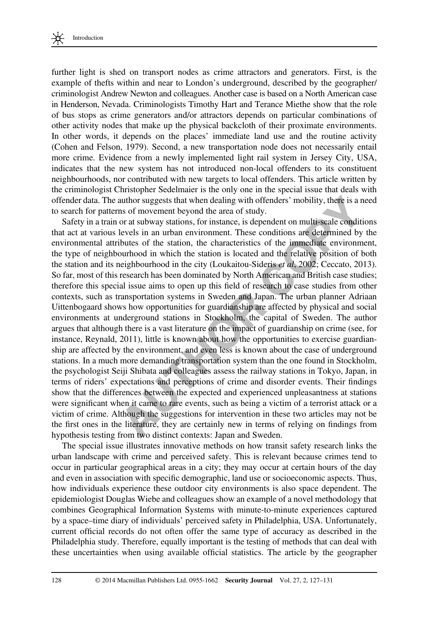

further light is shed on transport nodes as crime attractors and generators. First, is the example of thefts within and near to London's underground, described by the geographer/ criminologist Andrew Newton and colleagues. Another case is based on a North American case in Henderson, Nevada. Criminologists Timothy Hart and Terance Miethe show that the role of bus stops as crime generators and/or attractors depends on particular combinations of other activity nodes that make up the physical backcloth of their proximate environments. In other words, it depends on the places' immediate land use and the routine activity ([Cohen and Felson, 1979\)](#page-4-0). Second, a new transportation node does not necessarily entail more crime. Evidence from a newly implemented light rail system in Jersey City, USA, indicates that the new system has not introduced non-local offenders to its constituent neighbourhoods, nor contributed with new targets to local offenders. This article written by the criminologist Christopher Sedelmaier is the only one in the special issue that deals with offender data. The author suggests that when dealing with offenders' mobility, there is a need to search for patterns of movement beyond the area of study.

ata. The author suggests that when dealing with offenders' mobility, there is a r<br>or patterns of movement beyond the eras of study.<br>In a train or at subway stations, for instance, is dependent on multi-scale condit<br>various Safety in a train or at subway stations, for instance, is dependent on multi-scale conditions that act at various levels in an urban environment. These conditions are determined by the environmental attributes of the station, the characteristics of the immediate environment, the type of neighbourhood in which the station is located and the relative position of both the station and its neighbourhood in the city (Loukaitou-Sideris et al, 2002; [Ceccato, 2013\)](#page-3-0). So far, most of this research has been dominated by North American and British case studies; therefore this special issue aims to open up this field of research to case studies from other contexts, such as transportation systems in Sweden and Japan. The urban planner Adriaan Uittenbogaard shows how opportunities for guardianship are affected by physical and social environments at underground stations in Stockholm, the capital of Sweden. The author argues that although there is a vast literature on the impact of guardianship on crime (see, for instance, [Reynald, 2011](#page-4-0)), little is known about how the opportunities to exercise guardianship are affected by the environment, and even less is known about the case of underground stations. In a much more demanding transportation system than the one found in Stockholm, the psychologist Seiji Shibata and colleagues assess the railway stations in Tokyo, Japan, in terms of riders' expectations and perceptions of crime and disorder events. Their findings show that the differences between the expected and experienced unpleasantness at stations were significant when it came to rare events, such as being a victim of a terrorist attack or a victim of crime. Although the suggestions for intervention in these two articles may not be the first ones in the literature, they are certainly new in terms of relying on findings from hypothesis testing from two distinct contexts: Japan and Sweden.

The special issue illustrates innovative methods on how transit safety research links the urban landscape with crime and perceived safety. This is relevant because crimes tend to occur in particular geographical areas in a city; they may occur at certain hours of the day and even in association with specific demographic, land use or socioeconomic aspects. Thus, how individuals experience these outdoor city environments is also space dependent. The epidemiologist Douglas Wiebe and colleagues show an example of a novel methodology that combines Geographical Information Systems with minute-to-minute experiences captured by a space–time diary of individuals' perceived safety in Philadelphia, USA. Unfortunately, current official records do not often offer the same type of accuracy as described in the Philadelphia study. Therefore, equally important is the testing of methods that can deal with these uncertainties when using available official statistics. The article by the geographer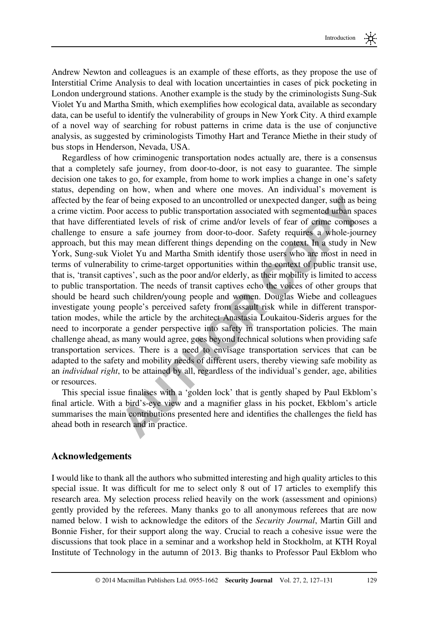Andrew Newton and colleagues is an example of these efforts, as they propose the use of Interstitial Crime Analysis to deal with location uncertainties in cases of pick pocketing in London underground stations. Another example is the study by the criminologists Sung-Suk Violet Yu and Martha Smith, which exemplifies how ecological data, available as secondary data, can be useful to identify the vulnerability of groups in New York City. A third example of a novel way of searching for robust patterns in crime data is the use of conjunctive analysis, as suggested by criminologists Timothy Hart and Terance Miethe in their study of bus stops in Henderson, Nevada, USA.

the fear of being exposed to an uncontrolled or unexpected danger, such as be<br>thirth. Poor access to public transporation associated with segmented urban spin<br>differentiated levels of risk of crime and/or levels of fear of Regardless of how criminogenic transportation nodes actually are, there is a consensus that a completely safe journey, from door-to-door, is not easy to guarantee. The simple decision one takes to go, for example, from home to work implies a change in one's safety status, depending on how, when and where one moves. An individual's movement is affected by the fear of being exposed to an uncontrolled or unexpected danger, such as being a crime victim. Poor access to public transportation associated with segmented urban spaces that have differentiated levels of risk of crime and/or levels of fear of crime composes a challenge to ensure a safe journey from door-to-door. Safety requires a whole-journey approach, but this may mean different things depending on the context. In a study in New York, Sung-suk Violet Yu and Martha Smith identify those users who are most in need in terms of vulnerability to crime-target opportunities within the context of public transit use, that is, 'transit captives', such as the poor and/or elderly, as their mobility is limited to access to public transportation. The needs of transit captives echo the voices of other groups that should be heard such children/young people and women. Douglas Wiebe and colleagues investigate young people's perceived safety from assault risk while in different transportation modes, while the article by the architect Anastasia Loukaitou-Sideris argues for the need to incorporate a gender perspective into safety in transportation policies. The main challenge ahead, as many would agree, goes beyond technical solutions when providing safe transportation services. There is a need to envisage transportation services that can be adapted to the safety and mobility needs of different users, thereby viewing safe mobility as an individual right, to be attained by all, regardless of the individual's gender, age, abilities or resources.

This special issue finalises with a 'golden lock' that is gently shaped by Paul Ekblom's final article. With a bird's-eye view and a magnifier glass in his pocket, Ekblom's article summarises the main contributions presented here and identifies the challenges the field has ahead both in research and in practice.

### Acknowledgements

I would like to thank all the authors who submitted interesting and high quality articles to this special issue. It was difficult for me to select only 8 out of 17 articles to exemplify this research area. My selection process relied heavily on the work (assessment and opinions) gently provided by the referees. Many thanks go to all anonymous referees that are now named below. I wish to acknowledge the editors of the *Security Journal*, Martin Gill and Bonnie Fisher, for their support along the way. Crucial to reach a cohesive issue were the discussions that took place in a seminar and a workshop held in Stockholm, at KTH Royal Institute of Technology in the autumn of 2013. Big thanks to Professor Paul Ekblom who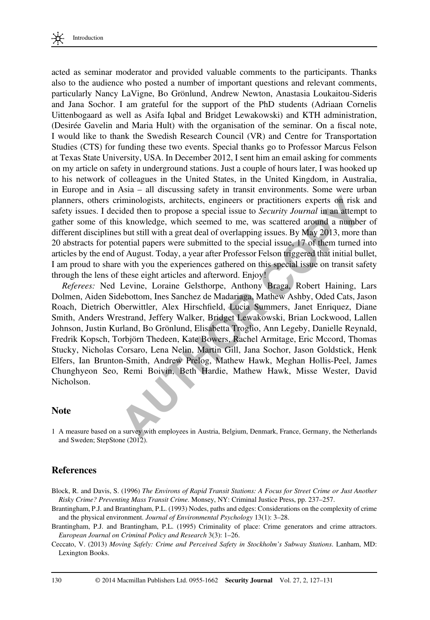<span id="page-3-0"></span>

acted as seminar moderator and provided valuable comments to the participants. Thanks also to the audience who posted a number of important questions and relevant comments, particularly Nancy LaVigne, Bo Grönlund, Andrew Newton, Anastasia Loukaitou-Sideris and Jana Sochor. I am grateful for the support of the PhD students (Adriaan Cornelis Uittenbogaard as well as Asifa Iqbal and Bridget Lewakowski) and KTH administration, (Desirée Gavelin and Maria Hult) with the organisation of the seminar. On a fiscal note, I would like to thank the Swedish Research Council (VR) and Centre for Transportation Studies (CTS) for funding these two events. Special thanks go to Professor Marcus Felson at Texas State University, USA. In December 2012, I sent him an email asking for comments on my article on safety in underground stations. Just a couple of hours later, I was hooked up to his network of colleagues in the United States, in the United Kingdom, in Australia, in Europe and in Asia – all discussing safety in transit environments. Some were urban planners, others criminologists, architects, engineers or practitioners experts on risk and safety issues. I decided then to propose a special issue to *Security Journal* in an attempt to gather some of this knowledge, which seemed to me, was scattered around a number of different disciplines but still with a great deal of overlapping issues. By May 2013, more than 20 abstracts for potential papers were submitted to the special issue, 17 of them turned into articles by the end of August. Today, a year after Professor Felson triggered that initial bullet, I am proud to share with you the experiences gathered on this special issue on transit safety through the lens of these eight articles and afterword. Enjoy!

others criminologists, architects, engineers or practitioners experts on risk<br> **Exaction the propose a special issue to** *Security Journal* **in an attemption<br>
i.e. of this knowledge, which seemed to the was cattered around a** Referees: Ned Levine, Loraine Gelsthorpe, Anthony Braga, Robert Haining, Lars Dolmen, Aiden Sidebottom, Ines Sanchez de Madariaga, Mathew Ashby, Oded Cats, Jason Roach, Dietrich Oberwittler, Alex Hirschfield, Lucia Summers, Janet Enriquez, Diane Smith, Anders Wrestrand, Jeffery Walker, Bridget Lewakowski, Brian Lockwood, Lallen Johnson, Justin Kurland, Bo Grönlund, Elisabetta Troglio, Ann Legeby, Danielle Reynald, Fredrik Kopsch, Torbjörn Thedeen, Kate Bowers, Rachel Armitage, Eric Mccord, Thomas Stucky, Nicholas Corsaro, Lena Nelin, Martin Gill, Jana Sochor, Jason Goldstick, Henk Elfers, Ian Brunton-Smith, Andrew Prelog, Mathew Hawk, Meghan Hollis-Peel, James Chunghyeon Seo, Remi Boivin, Beth Hardie, Mathew Hawk, Misse Wester, David Nicholson.

#### **Note**

1 A measure based on a survey with employees in Austria, Belgium, Denmark, France, Germany, the Netherlands and Sweden; [StepStone \(2012\).](#page-4-0)

### **References**

- Block, R. and Davis, S. (1996) The Environs of Rapid Transit Stations: A Focus for Street Crime or Just Another Risky Crime? Preventing Mass Transit Crime. Monsey, NY: Criminal Justice Press, pp. 237–257.
- Brantingham, P.J. and Brantingham, P.L. (1993) Nodes, paths and edges: Considerations on the complexity of crime and the physical environment. Journal of Environmental Psychology 13(1): 3–28.
- Brantingham, P.J. and Brantingham, P.L. (1995) Criminality of place: Crime generators and crime attractors. European Journal on Criminal Policy and Research 3(3): 1–26.
- Ceccato, V. (2013) Moving Safely: Crime and Perceived Safety in Stockholm's Subway Stations. Lanham, MD: Lexington Books.